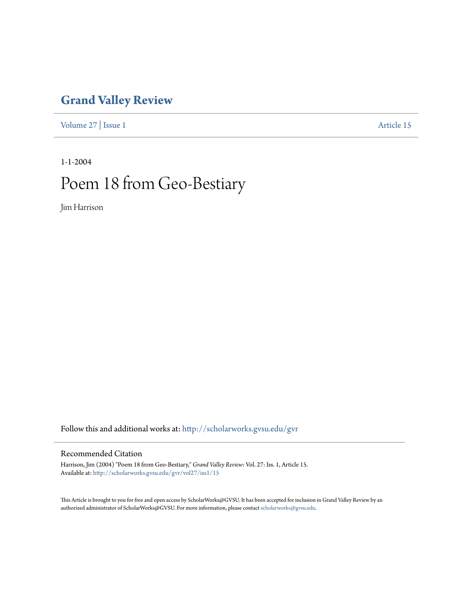## **[Grand Valley Review](http://scholarworks.gvsu.edu/gvr?utm_source=scholarworks.gvsu.edu%2Fgvr%2Fvol27%2Fiss1%2F15&utm_medium=PDF&utm_campaign=PDFCoverPages)**

[Volume 27](http://scholarworks.gvsu.edu/gvr/vol27?utm_source=scholarworks.gvsu.edu%2Fgvr%2Fvol27%2Fiss1%2F15&utm_medium=PDF&utm_campaign=PDFCoverPages) | [Issue 1](http://scholarworks.gvsu.edu/gvr/vol27/iss1?utm_source=scholarworks.gvsu.edu%2Fgvr%2Fvol27%2Fiss1%2F15&utm_medium=PDF&utm_campaign=PDFCoverPages) [Article 15](http://scholarworks.gvsu.edu/gvr/vol27/iss1/15?utm_source=scholarworks.gvsu.edu%2Fgvr%2Fvol27%2Fiss1%2F15&utm_medium=PDF&utm_campaign=PDFCoverPages)

1-1-2004

## Poem 18 from Geo-Bestiary

Jim Harrison

Follow this and additional works at: [http://scholarworks.gvsu.edu/gvr](http://scholarworks.gvsu.edu/gvr?utm_source=scholarworks.gvsu.edu%2Fgvr%2Fvol27%2Fiss1%2F15&utm_medium=PDF&utm_campaign=PDFCoverPages)

## Recommended Citation

Harrison, Jim (2004) "Poem 18 from Geo-Bestiary," *Grand Valley Review*: Vol. 27: Iss. 1, Article 15. Available at: [http://scholarworks.gvsu.edu/gvr/vol27/iss1/15](http://scholarworks.gvsu.edu/gvr/vol27/iss1/15?utm_source=scholarworks.gvsu.edu%2Fgvr%2Fvol27%2Fiss1%2F15&utm_medium=PDF&utm_campaign=PDFCoverPages)

This Article is brought to you for free and open access by ScholarWorks@GVSU. It has been accepted for inclusion in Grand Valley Review by an authorized administrator of ScholarWorks@GVSU. For more information, please contact [scholarworks@gvsu.edu.](mailto:scholarworks@gvsu.edu)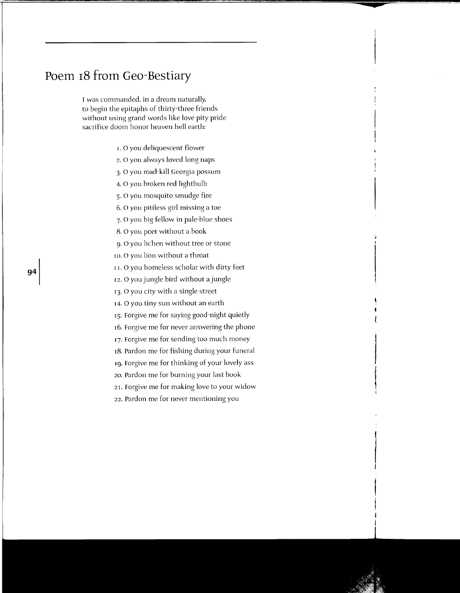## **Poem 18 from Geo-Bestiary**

I was commanded. in a dream naturally. to begin the epitaphs of thirty-three friends without using grand words like love pity pride sacrifice doom honor heaven hell earth:

- r. 0 you deliquescent flower
- 2. 0 you always loved long naps
- 3· 0 you road-kill Georgia possum
- 4. 0 you broken red lightbulb
- 5· 0 you mosquito smudge fire
- 6. 0 you pitiless girl missing a toe
- 7· 0 you big fellow in pale-blue shoes
- 8. 0 you poet without a book
- g. 0 you lichen without tree or stone
- 10. 0 you lion without a throat
- r r. 0 you homeless scholar with dirty feet
- 12. 0 you jungle bird without a jungle
- 13. 0 you city with a single street
- r4. 0 you tiny sun without an earth
- rs. Forgive me for saying good-night quietly
- r6. Forgive me for never answering the phone
- 17. Forgive me for sending too much money
- r8. Pardon me for fishing during your funeral
- rg. Forgive me for thinking of your lovely ass
- 20. Pardon me for burning your last book
- 21. Forgive me for making love to your widow
- 22. Pardon me for never mentioning you